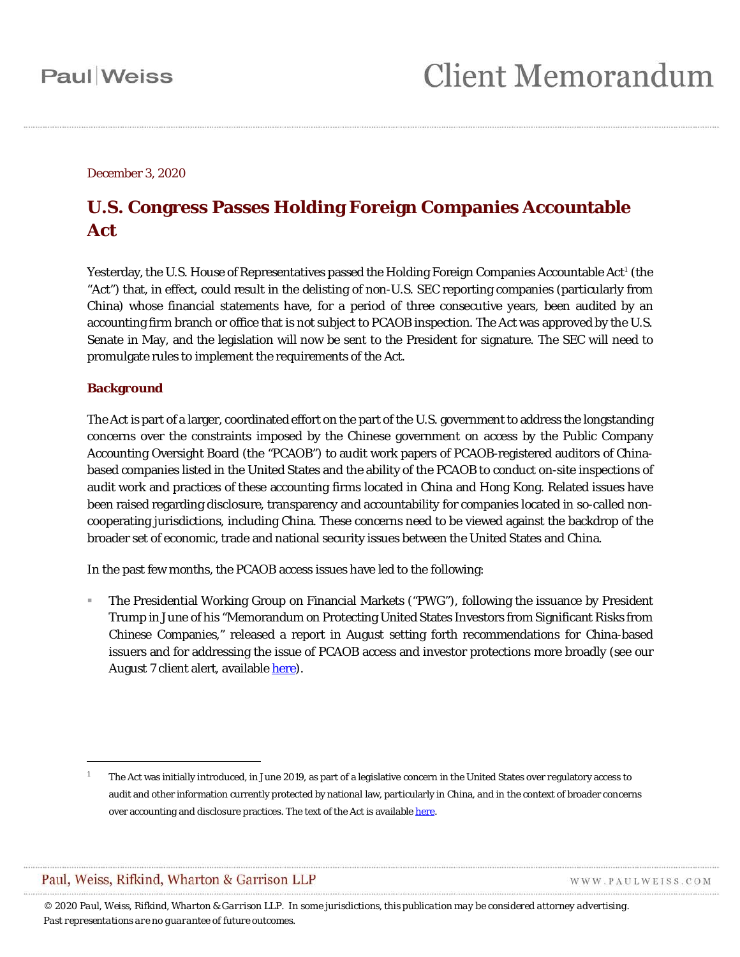December 3, 2020

### **U.S. Congress Passes Holding Foreign Companies Accountable Act**

Yesterday, the U.S. House of Representatives passed the Holding Foreign Companies Accountable Act<sup>[1](#page-0-0)</sup> (the "Act") that, in effect, could result in the delisting of non-U.S. SEC reporting companies (particularly from China) whose financial statements have, for a period of three consecutive years, been audited by an accounting firm branch or office that is not subject to PCAOB inspection. The Act was approved by the U.S. Senate in May, and the legislation will now be sent to the President for signature. The SEC will need to promulgate rules to implement the requirements of the Act.

#### **Background**

 $\overline{a}$ 

The Act is part of a larger, coordinated effort on the part of the U.S. government to address the longstanding concerns over the constraints imposed by the Chinese government on access by the Public Company Accounting Oversight Board (the "PCAOB") to audit work papers of PCAOB-registered auditors of Chinabased companies listed in the United States and the ability of the PCAOB to conduct on-site inspections of audit work and practices of these accounting firms located in China and Hong Kong. Related issues have been raised regarding disclosure, transparency and accountability for companies located in so-called noncooperating jurisdictions, including China. These concerns need to be viewed against the backdrop of the broader set of economic, trade and national security issues between the United States and China.

In the past few months, the PCAOB access issues have led to the following:

 The Presidential Working Group on Financial Markets ("PWG"), following the issuance by President Trump in June of his "Memorandum on Protecting United States Investors from Significant Risks from Chinese Companies," released a report in August setting forth recommendations for China-based issuers and for addressing the issue of PCAOB access and investor protections more broadly (see our August 7 client alert, available [here\)](https://www.paulweiss.com/practices/transactional/capital-markets/publications/update-for-chinese-sec-reporting-companies-president-s-working-group?id=37687).

WWW.PAULWEISS.COM

<span id="page-0-0"></span><sup>1</sup> The Act was initially introduced, in June 2019, as part of a legislative concern in the United States over regulatory access to audit and other information currently protected by national law, particularly in China, and in the context of broader concerns over accounting and disclosure practices. The text of the Act is available here.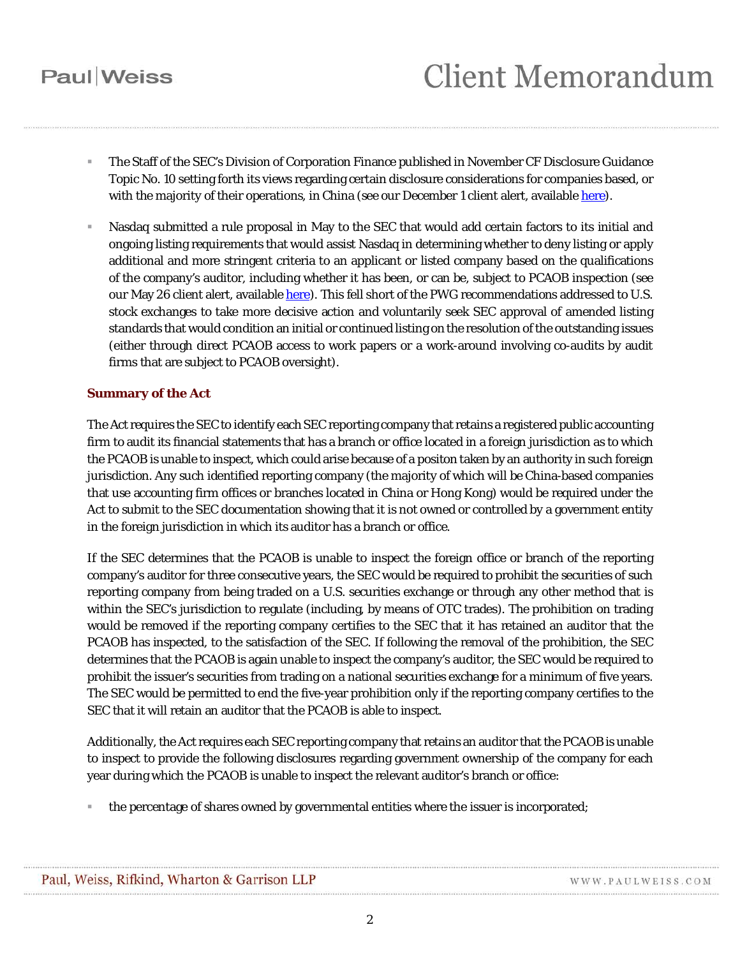## **Paul** Weiss

- The Staff of the SEC's Division of Corporation Finance published in November CF Disclosure Guidance Topic No. 10 setting forth its views regarding certain disclosure considerations for companies based, or with the majority of their operations, in China (see our December 1 client alert, available [here\)](https://www.paulweiss.com/practices/transactional/capital-markets/publications/corpfin-staff-issues-guidance-on-disclosure-considerations-for-chinese-issuers?id=38677).
- Nasdaq submitted a rule proposal in May to the SEC that would add certain factors to its initial and ongoing listing requirements that would assist Nasdaq in determining whether to deny listing or apply additional and more stringent criteria to an applicant or listed company based on the qualifications of the company's auditor, including whether it has been, or can be, subject to PCAOB inspection (see our May 26 client alert, availabl[e here\)](https://www.paulweiss.com/practices/region/asia/publications/disclosure-and-other-considerations-an-update-for-chinese-sec-reporting-companies?id=37031). This fell short of the PWG recommendations addressed to U.S. stock exchanges to take more decisive action and voluntarily seek SEC approval of amended listing standards that would condition an initial or continued listing on the resolution of the outstanding issues (either through direct PCAOB access to work papers or a work-around involving co-audits by audit firms that are subject to PCAOB oversight).

#### **Summary of the Act**

The Act requires the SEC to identify each SEC reporting company that retains a registered public accounting firm to audit its financial statements that has a branch or office located in a foreign jurisdiction as to which the PCAOB is unable to inspect, which could arise because of a positon taken by an authority in such foreign jurisdiction. Any such identified reporting company (the majority of which will be China-based companies that use accounting firm offices or branches located in China or Hong Kong) would be required under the Act to submit to the SEC documentation showing that it is not owned or controlled by a government entity in the foreign jurisdiction in which its auditor has a branch or office.

If the SEC determines that the PCAOB is unable to inspect the foreign office or branch of the reporting company's auditor for three consecutive years, the SEC would be required to prohibit the securities of such reporting company from being traded on a U.S. securities exchange or through any other method that is within the SEC's jurisdiction to regulate (including, by means of OTC trades). The prohibition on trading would be removed if the reporting company certifies to the SEC that it has retained an auditor that the PCAOB has inspected, to the satisfaction of the SEC. If following the removal of the prohibition, the SEC determines that the PCAOB is again unable to inspect the company's auditor, the SEC would be required to prohibit the issuer's securities from trading on a national securities exchange for a minimum of five years. The SEC would be permitted to end the five-year prohibition only if the reporting company certifies to the SEC that it will retain an auditor that the PCAOB is able to inspect.

Additionally, the Act requires each SEC reporting company that retains an auditor that the PCAOB is unable to inspect to provide the following disclosures regarding government ownership of the company for each year during which the PCAOB is unable to inspect the relevant auditor's branch or office:

the percentage of shares owned by governmental entities where the issuer is incorporated;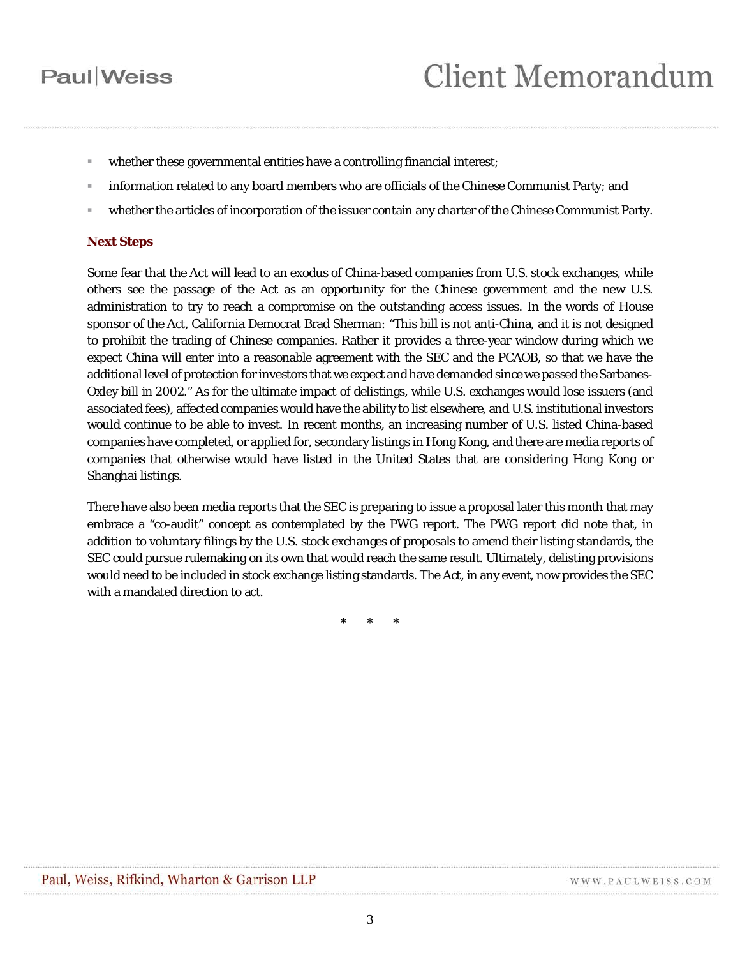### **Paul** Weiss

- whether these governmental entities have a controlling financial interest;
- information related to any board members who are officials of the Chinese Communist Party; and
- whether the articles of incorporation of the issuer contain any charter of the Chinese Communist Party.

#### **Next Steps**

Some fear that the Act will lead to an exodus of China-based companies from U.S. stock exchanges, while others see the passage of the Act as an opportunity for the Chinese government and the new U.S. administration to try to reach a compromise on the outstanding access issues. In the words of House sponsor of the Act, California Democrat Brad Sherman: "This bill is not anti-China, and it is not designed to prohibit the trading of Chinese companies. Rather it provides a three-year window during which we expect China will enter into a reasonable agreement with the SEC and the PCAOB, so that we have the additional level of protection for investors that we expect and have demanded since we passed the Sarbanes-Oxley bill in 2002." As for the ultimate impact of delistings, while U.S. exchanges would lose issuers (and associated fees), affected companies would have the ability to list elsewhere, and U.S. institutional investors would continue to be able to invest. In recent months, an increasing number of U.S. listed China-based companies have completed, or applied for, secondary listings in Hong Kong, and there are media reports of companies that otherwise would have listed in the United States that are considering Hong Kong or Shanghai listings.

There have also been media reports that the SEC is preparing to issue a proposal later this month that may embrace a "co-audit" concept as contemplated by the PWG report. The PWG report did note that, in addition to voluntary filings by the U.S. stock exchanges of proposals to amend their listing standards, the SEC could pursue rulemaking on its own that would reach the same result. Ultimately, delisting provisions would need to be included in stock exchange listing standards. The Act, in any event, now provides the SEC with a mandated direction to act.

\* \* \*